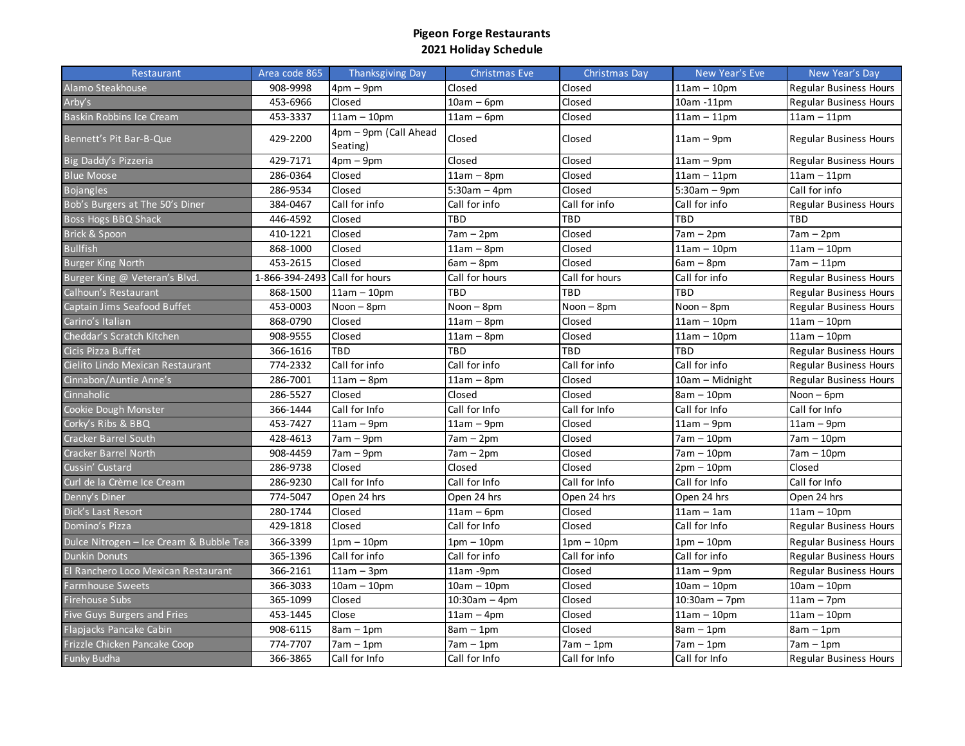| Restaurant                              | Area code 865  | <b>Thanksgiving Day</b>           | <b>Christmas Eve</b> | Christmas Day  | New Year's Eve  | New Year's Day                |
|-----------------------------------------|----------------|-----------------------------------|----------------------|----------------|-----------------|-------------------------------|
| Alamo Steakhouse                        | 908-9998       | $4pm - 9pm$                       | Closed               | Closed         | $11am - 10pm$   | <b>Regular Business Hours</b> |
| Arby's                                  | 453-6966       | Closed                            | $10am - 6pm$         | Closed         | 10am -11pm      | <b>Regular Business Hours</b> |
| <b>Baskin Robbins Ice Cream</b>         | 453-3337       | $11am - 10pm$                     | $11am - 6pm$         | Closed         | $11am - 11pm$   | $11am - 11pm$                 |
| Bennett's Pit Bar-B-Que                 | 429-2200       | 4pm - 9pm (Call Ahead<br>Seating) | Closed               | Closed         | $11am - 9pm$    | <b>Regular Business Hours</b> |
| Big Daddy's Pizzeria                    | 429-7171       | $4pm - 9pm$                       | Closed               | Closed         | $11am - 9pm$    | <b>Regular Business Hours</b> |
| <b>Blue Moose</b>                       | 286-0364       | Closed                            | $11am - 8pm$         | Closed         | $11am - 11pm$   | $11am - 11pm$                 |
| <b>Bojangles</b>                        | 286-9534       | Closed                            | $5:30am - 4pm$       | Closed         | $5:30am - 9pm$  | Call for info                 |
| Bob's Burgers at The 50's Diner         | 384-0467       | Call for info                     | Call for info        | Call for info  | Call for info   | <b>Regular Business Hours</b> |
| Boss Hogs BBQ Shack                     | 446-4592       | Closed                            | TBD                  | TBD            | <b>TBD</b>      | TBD                           |
| Brick & Spoon                           | 410-1221       | Closed                            | $7am - 2pm$          | Closed         | $7am - 2pm$     | $7am - 2pm$                   |
| <b>Bullfish</b>                         | 868-1000       | Closed                            | $11am - 8pm$         | Closed         | $11am - 10pm$   | $11am - 10pm$                 |
| <b>Burger King North</b>                | 453-2615       | Closed                            | $6am - 8pm$          | Closed         | $6am - 8pm$     | $7am - 11pm$                  |
| Burger King @ Veteran's Blvd.           | 1-866-394-2493 | Call for hours                    | Call for hours       | Call for hours | Call for info   | <b>Regular Business Hours</b> |
| Calhoun's Restaurant                    | 868-1500       | $11am - 10pm$                     | TBD                  | TBD            | TBD             | <b>Regular Business Hours</b> |
| Captain Jims Seafood Buffet             | 453-0003       | $Noon - 8pm$                      | $Noon - 8pm$         | $Noon - 8pm$   | Noon - 8pm      | <b>Regular Business Hours</b> |
| Carino's Italian                        | 868-0790       | Closed                            | $11am - 8pm$         | Closed         | $11am - 10dm$   | $11am - 10pm$                 |
| Cheddar's Scratch Kitchen               | 908-9555       | Closed                            | $11am - 8pm$         | Closed         | $11am - 10pm$   | $11am - 10pm$                 |
| Cicis Pizza Buffet                      | 366-1616       | <b>TBD</b>                        | TBD                  | TBD            | <b>TBD</b>      | <b>Regular Business Hours</b> |
| Cielito Lindo Mexican Restaurant        | 774-2332       | Call for info                     | Call for info        | Call for info  | Call for info   | <b>Regular Business Hours</b> |
| Cinnabon/Auntie Anne's                  | 286-7001       | $11am - 8pm$                      | $11am - 8pm$         | Closed         | 10am - Midnight | <b>Regular Business Hours</b> |
| Cinnaholic                              | 286-5527       | Closed                            | Closed               | Closed         | $8am - 10pm$    | Noon - 6pm                    |
| Cookie Dough Monster                    | 366-1444       | Call for Info                     | Call for Info        | Call for Info  | Call for Info   | Call for Info                 |
| Corky's Ribs & BBQ                      | 453-7427       | $11am - 9pm$                      | $11am - 9pm$         | Closed         | $11am - 9pm$    | $11am - 9pm$                  |
| <b>Cracker Barrel South</b>             | 428-4613       | $7am - 9pm$                       | $7am - 2pm$          | Closed         | 7am - 10pm      | $7am - 10pm$                  |
| <b>Cracker Barrel North</b>             | 908-4459       | $7am - 9pm$                       | 7am – 2pm            | Closed         | $7am - 10pm$    | 7am - 10pm                    |
| Cussin' Custard                         | 286-9738       | Closed                            | Closed               | Closed         | $2pm - 10pm$    | Closed                        |
| Curl de la Crème Ice Cream              | 286-9230       | Call for Info                     | Call for Info        | Call for Info  | Call for Info   | Call for Info                 |
| Denny's Diner                           | 774-5047       | Open 24 hrs                       | Open 24 hrs          | Open 24 hrs    | Open 24 hrs     | Open 24 hrs                   |
| Dick's Last Resort                      | 280-1744       | Closed                            | $11am - 6pm$         | Closed         | $11am - 1am$    | $11am - 10pm$                 |
| Domino's Pizza                          | 429-1818       | Closed                            | Call for Info        | Closed         | Call for Info   | <b>Regular Business Hours</b> |
| Dulce Nitrogen - Ice Cream & Bubble Tea | 366-3399       | $1pm - 10pm$                      | 1pm – 10pm           | $1pm - 10pm$   | $1pm - 10pm$    | <b>Regular Business Hours</b> |
| <b>Dunkin Donuts</b>                    | 365-1396       | Call for info                     | Call for info        | Call for info  | Call for info   | <b>Regular Business Hours</b> |
| El Ranchero Loco Mexican Restaurant     | 366-2161       | $11am - 3dm$                      | 11am -9pm            | Closed         | $11am - 9pm$    | <b>Regular Business Hours</b> |
| <b>Farmhouse Sweets</b>                 | 366-3033       | $10am - 10pm$                     | $10am - 10pm$        | Closed         | $10am - 10pm$   | $10am - 10pm$                 |
| <b>Firehouse Subs</b>                   | 365-1099       | Closed                            | $10:30am - 4pm$      | Closed         | $10:30am - 7pm$ | $11am - 7pm$                  |
| <b>Five Guys Burgers and Fries</b>      | 453-1445       | Close                             | $11am - 4pm$         | Closed         | $11am - 10pm$   | $11am - 10pm$                 |
| Flapjacks Pancake Cabin                 | 908-6115       | $8am - 1pm$                       | $8am - 1pm$          | Closed         | $8am - 1pm$     | $8am - 1pm$                   |
| Frizzle Chicken Pancake Coop            | 774-7707       | $7am - 1pm$                       | $7am - 1pm$          | $7am - 1pm$    | $7am - 1pm$     | $7am - 1pm$                   |
| <b>Funky Budha</b>                      | 366-3865       | Call for Info                     | Call for Info        | Call for Info  | Call for Info   | <b>Regular Business Hours</b> |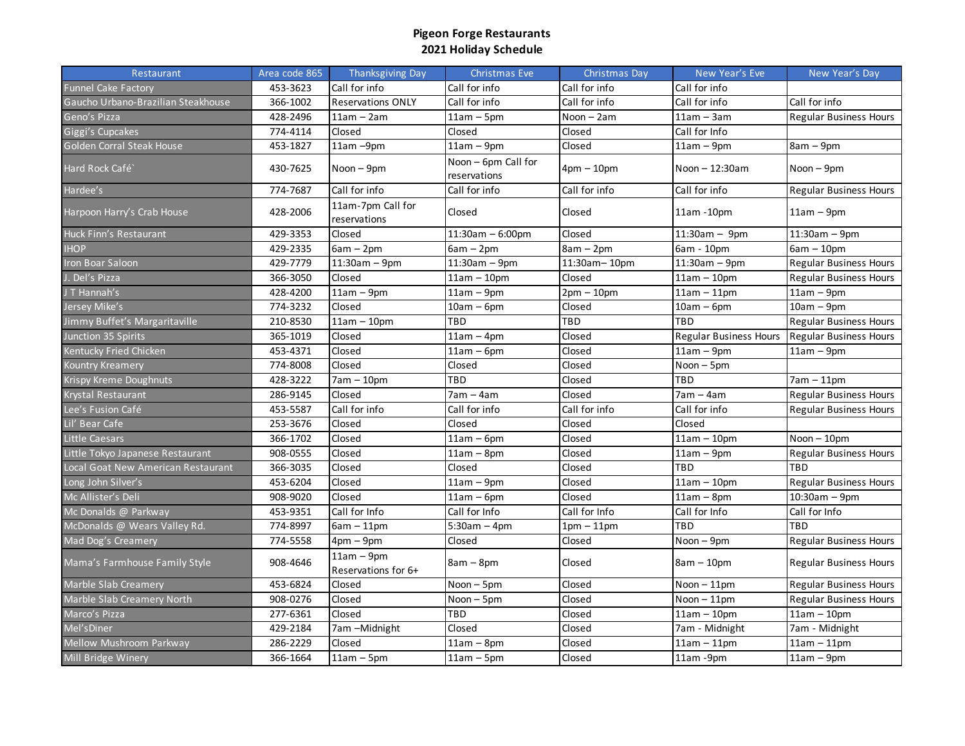| Restaurant                         | Area code 865 | Thanksgiving Day                    | Christmas Eve                       | Christmas Day | New Year's Eve                | New Year's Day                |
|------------------------------------|---------------|-------------------------------------|-------------------------------------|---------------|-------------------------------|-------------------------------|
| <b>Funnel Cake Factory</b>         | 453-3623      | Call for info                       | Call for info                       | Call for info | Call for info                 |                               |
| Gaucho Urbano-Brazilian Steakhouse | 366-1002      | <b>Reservations ONLY</b>            | Call for info                       | Call for info | Call for info                 | Call for info                 |
| Geno's Pizza                       | 428-2496      | $11am - 2am$                        | $11am - 5pm$                        | $Noon - 2am$  | $11am - 3am$                  | <b>Regular Business Hours</b> |
| Giggi's Cupcakes                   | 774-4114      | Closed                              | Closed                              | Closed        | Call for Info                 |                               |
| Golden Corral Steak House          | 453-1827      | 11am-9pm                            | $11am - 9pm$                        | Closed        | $11am - 9pm$                  | $8am - 9pm$                   |
| Hard Rock Café`                    | 430-7625      | Noon $-9$ pm                        | Noon - 6pm Call for<br>reservations | $4pm - 10pm$  | Noon $-12:30$ am              | $N$ oon $-$ 9pm               |
| Hardee's                           | 774-7687      | Call for info                       | Call for info                       | Call for info | Call for info                 | <b>Regular Business Hours</b> |
| Harpoon Harry's Crab House         | 428-2006      | 11am-7pm Call for<br>reservations   | Closed                              | Closed        | $11am - 10pm$                 | $11am - 9pm$                  |
| Huck Finn's Restaurant             | 429-3353      | Closed                              | $11:30am - 6:00pm$                  | Closed        | $11:30am - 9pm$               | $11:30am - 9pm$               |
| <b>IHOP</b>                        | 429-2335      | $6am - 2pm$                         | $6am - 2pm$                         | $8am - 2pm$   | 6am - 10pm                    | $6am - 10pm$                  |
| Iron Boar Saloon                   | 429-7779      | $11:30am - 9pm$                     | $11:30am - 9pm$                     | 11:30am-10pm  | $11:30am - 9pm$               | <b>Regular Business Hours</b> |
| J. Del's Pizza                     | 366-3050      | Closed                              | $11am - 10pm$                       | Closed        | $11am - 10pm$                 | <b>Regular Business Hours</b> |
| J T Hannah's                       | 428-4200      | $11am - 9pm$                        | $11am - 9pm$                        | $2pm - 10pm$  | $11am - 11pm$                 | $11am - 9pm$                  |
| Jersey Mike's                      | 774-3232      | Closed                              | $10am - 6pm$                        | Closed        | $10am - 6pm$                  | $10am - 9pm$                  |
| Jimmy Buffet's Margaritaville      | 210-8530      | $11am - 10pm$                       | TBD                                 | TBD           | TBD                           | <b>Regular Business Hours</b> |
| Junction 35 Spirits                | 365-1019      | Closed                              | $11am - 4pm$                        | Closed        | <b>Regular Business Hours</b> | <b>Regular Business Hours</b> |
| Kentucky Fried Chicken             | 453-4371      | Closed                              | $11am - 6pm$                        | Closed        | $11am - 9pm$                  | $11am - 9pm$                  |
| Kountry Kreamery                   | 774-8008      | Closed                              | Closed                              | Closed        | Noon - 5pm                    |                               |
| Krispy Kreme Doughnuts             | 428-3222      | $7am - 10pm$                        | TBD                                 | Closed        | TBD                           | 7am – 11pm                    |
| Krystal Restaurant                 | 286-9145      | Closed                              | $7am - 4am$                         | Closed        | $7am - 4am$                   | <b>Regular Business Hours</b> |
| Lee's Fusion Café                  | 453-5587      | Call for info                       | Call for info                       | Call for info | Call for info                 | <b>Regular Business Hours</b> |
| Lil' Bear Cafe                     | 253-3676      | Closed                              | Closed                              | Closed        | Closed                        |                               |
| <b>Little Caesars</b>              | 366-1702      | Closed                              | $11am - 6pm$                        | Closed        | $11am - 10pm$                 | $Noon - 10pm$                 |
| Little Tokyo Japanese Restaurant   | 908-0555      | Closed                              | $11am - 8pm$                        | Closed        | $11am - 9pm$                  | <b>Regular Business Hours</b> |
| Local Goat New American Restaurant | 366-3035      | Closed                              | Closed                              | Closed        | TBD                           | TBD                           |
| Long John Silver's                 | 453-6204      | Closed                              | $11am - 9pm$                        | Closed        | $11am - 10pm$                 | <b>Regular Business Hours</b> |
| Mc Allister's Deli                 | 908-9020      | Closed                              | $11am - 6pm$                        | Closed        | $11am - 8pm$                  | 10:30am - 9pm                 |
| Mc Donalds @ Parkway               | 453-9351      | Call for Info                       | Call for Info                       | Call for Info | Call for Info                 | Call for Info                 |
| McDonalds @ Wears Valley Rd.       | 774-8997      | $6am - 11pm$                        | $5:30am - 4pm$                      | $1pm - 11pm$  | TBD                           | TBD                           |
| Mad Dog's Creamery                 | 774-5558      | $4pm - 9pm$                         | Closed                              | Closed        | Noon - 9pm                    | <b>Regular Business Hours</b> |
| Mama's Farmhouse Family Style      | 908-4646      | $11am - 9pm$<br>Reservations for 6+ | $8am - 8pm$                         | Closed        | $8am - 10pm$                  | <b>Regular Business Hours</b> |
| <b>Marble Slab Creamery</b>        | 453-6824      | Closed                              | Noon - 5pm                          | Closed        | $N$ oon $-11$ pm              | <b>Regular Business Hours</b> |
| Marble Slab Creamery North         | 908-0276      | Closed                              | Noon - 5pm                          | Closed        | $Noon - 11pm$                 | <b>Regular Business Hours</b> |
| Marco's Pizza                      | 277-6361      | Closed                              | TBD                                 | Closed        | $11am - 10pm$                 | $11am - 10pm$                 |
| Mel's Diner                        | 429-2184      | 7am -Midnight                       | Closed                              | Closed        | 7am - Midnight                | 7am - Midnight                |
| Mellow Mushroom Parkway            | 286-2229      | Closed                              | $11am - 8pm$                        | Closed        | $11am - 11pm$                 | $11am - 11pm$                 |
| Mill Bridge Winery                 | 366-1664      | $11am - 5pm$                        | $11am - 5pm$                        | Closed        | 11am -9pm                     | $11am - 9pm$                  |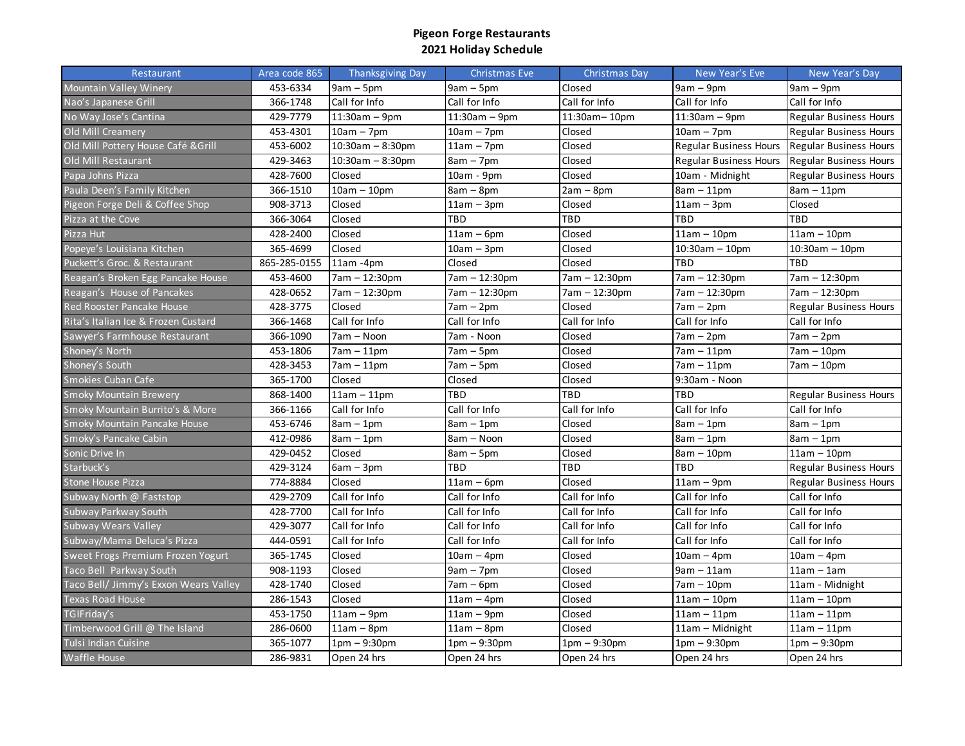| Restaurant                            | Area code 865 | Thanksgiving Day    | Christmas Eve   | Christmas Day  | New Year's Eve                                  | New Year's Day                |
|---------------------------------------|---------------|---------------------|-----------------|----------------|-------------------------------------------------|-------------------------------|
| <b>Mountain Valley Winery</b>         | 453-6334      | $9am - 5pm$         | $9am - 5pm$     | Closed         | $9am - 9pm$                                     | $9am - 9pm$                   |
| Nao's Japanese Grill                  | 366-1748      | Call for Info       | Call for Info   | Call for Info  | Call for Info                                   | Call for Info                 |
| No Way Jose's Cantina                 | 429-7779      | $11:30am - 9pm$     | $11:30am - 9pm$ | 11:30am-10pm   | $11:30am - 9pm$                                 | <b>Regular Business Hours</b> |
| Old Mill Creamery                     | 453-4301      | $10am - 7pm$        | $10am - 7pm$    | Closed         | $10am - 7pm$                                    | <b>Regular Business Hours</b> |
| Old Mill Pottery House Café &Grill    | 453-6002      | $10:30$ am - 8:30pm | $11am - 7pm$    | Closed         | Regular Business Hours   Regular Business Hours |                               |
| Old Mill Restaurant                   | 429-3463      | $10:30am - 8:30pm$  | $8am - 7pm$     | Closed         | <b>Regular Business Hours</b>                   | <b>Regular Business Hours</b> |
| Papa Johns Pizza                      | 428-7600      | Closed              | 10am - 9pm      | Closed         | 10am - Midnight                                 | <b>Regular Business Hours</b> |
| Paula Deen's Family Kitchen           | 366-1510      | $10am - 10pm$       | $8am - 8pm$     | $2am - 8pm$    | $8am - 11pm$                                    | $8am - 11pm$                  |
| Pigeon Forge Deli & Coffee Shop       | 908-3713      | Closed              | $11am - 3pm$    | Closed         | $11am - 3pm$                                    | Closed                        |
| Pizza at the Cove                     | 366-3064      | Closed              | TBD             | TBD            | TBD                                             | TBD                           |
| Pizza Hut                             | 428-2400      | Closed              | $11am - 6pm$    | Closed         | $11am - 10pm$                                   | $11am - 10pm$                 |
| Popeye's Louisiana Kitchen            | 365-4699      | Closed              | $10am - 3pm$    | Closed         | $10:30am - 10pm$                                | $10:30am - 10pm$              |
| Puckett's Groc. & Restaurant          | 865-285-0155  | $11am - 4pm$        | Closed          | Closed         | TBD                                             | TBD                           |
| Reagan's Broken Egg Pancake House     | 453-4600      | 7am - 12:30pm       | 7am - 12:30pm   | 7am - 12:30pm  | 7am - 12:30pm                                   | 7am – 12:30pm                 |
| Reagan's House of Pancakes            | 428-0652      | 7am - 12:30pm       | 7am – 12:30pm   | 7am – 12:30pm  | 7am – 12:30pm                                   | 7am – 12:30pm                 |
| Red Rooster Pancake House             | 428-3775      | Closed              | 7am – 2pm       | Closed         | 7am – 2pm                                       | <b>Regular Business Hours</b> |
| Rita's Italian Ice & Frozen Custard   | 366-1468      | Call for Info       | Call for Info   | Call for Info  | Call for Info                                   | Call for Info                 |
| Sawyer's Farmhouse Restaurant         | 366-1090      | 7am - Noon          | 7am - Noon      | Closed         | $7am - 2pm$                                     | $7am - 2pm$                   |
| Shoney's North                        | 453-1806      | $7am - 11pm$        | $7am - 5pm$     | Closed         | $7am - 11pm$                                    | $7am - 10pm$                  |
| Shoney's South                        | 428-3453      | $7am - 11pm$        | $7am - 5pm$     | Closed         | $7am - 11pm$                                    | 7am - 10pm                    |
| Smokies Cuban Cafe                    | 365-1700      | Closed              | Closed          | Closed         | 9:30am - Noon                                   |                               |
| <b>Smoky Mountain Brewery</b>         | 868-1400      | $11am - 11pm$       | TBD             | TBD            | TBD                                             | <b>Regular Business Hours</b> |
| Smoky Mountain Burrito's & More       | 366-1166      | Call for Info       | Call for Info   | Call for Info  | Call for Info                                   | Call for Info                 |
| Smoky Mountain Pancake House          | 453-6746      | $8am - 1pm$         | $8am - 1pm$     | Closed         | $8am - 1pm$                                     | $8am - 1pm$                   |
| Smoky's Pancake Cabin                 | 412-0986      | $8am - 1pm$         | 8am - Noon      | Closed         | $8am - 1pm$                                     | $8am - 1pm$                   |
| Sonic Drive In                        | 429-0452      | Closed              | $8am - 5pm$     | Closed         | $8am - 10pm$                                    | $11am - 10pm$                 |
| Starbuck's                            | 429-3124      | $6am - 3pm$         | TBD             | TBD            | TBD                                             | <b>Regular Business Hours</b> |
| Stone House Pizza                     | 774-8884      | Closed              | $11am - 6pm$    | Closed         | $11am - 9pm$                                    | Regular Business Hours        |
| Subway North @ Faststop               | 429-2709      | Call for Info       | Call for Info   | Call for Info  | Call for Info                                   | Call for Info                 |
| Subway Parkway South                  | 428-7700      | Call for Info       | Call for Info   | Call for Info  | Call for Info                                   | Call for Info                 |
| Subway Wears Valley                   | 429-3077      | Call for Info       | Call for Info   | Call for Info  | Call for Info                                   | Call for Info                 |
| Subway/Mama Deluca's Pizza            | 444-0591      | Call for Info       | Call for Info   | Call for Info  | Call for Info                                   | Call for Info                 |
| Sweet Frogs Premium Frozen Yogurt     | 365-1745      | Closed              | 10am – 4pm      | Closed         | 10am – 4pm                                      | $10am - 4pm$                  |
| Taco Bell Parkway South               | 908-1193      | Closed              | $9am - 7pm$     | Closed         | $9am - 11am$                                    | $11am - 1am$                  |
| Taco Bell/ Jimmy's Exxon Wears Valley | 428-1740      | Closed              | $7am - 6pm$     | Closed         | $7am - 10pm$                                    | 11am - Midnight               |
| <b>Texas Road House</b>               | 286-1543      | Closed              | $11am - 4pm$    | Closed         | $11am - 10pm$                                   | $11am - 10pm$                 |
| TGIFriday's                           | 453-1750      | $11am - 9pm$        | $11am - 9pm$    | Closed         | $11am - 11pm$                                   | $11am - 11pm$                 |
| Timberwood Grill @ The Island         | 286-0600      | $11am - 8pm$        | $11am - 8pm$    | Closed         | 11am - Midnight                                 | $11am - 11pm$                 |
| Tulsi Indian Cuisine                  | 365-1077      | $1pm - 9:30pm$      | 1pm – 9:30pm    | $1pm - 9:30pm$ | 1pm – 9:30pm                                    | $1pm - 9:30pm$                |
| Waffle House                          | 286-9831      | Open 24 hrs         | Open 24 hrs     | Open 24 hrs    | Open 24 hrs                                     | Open 24 hrs                   |